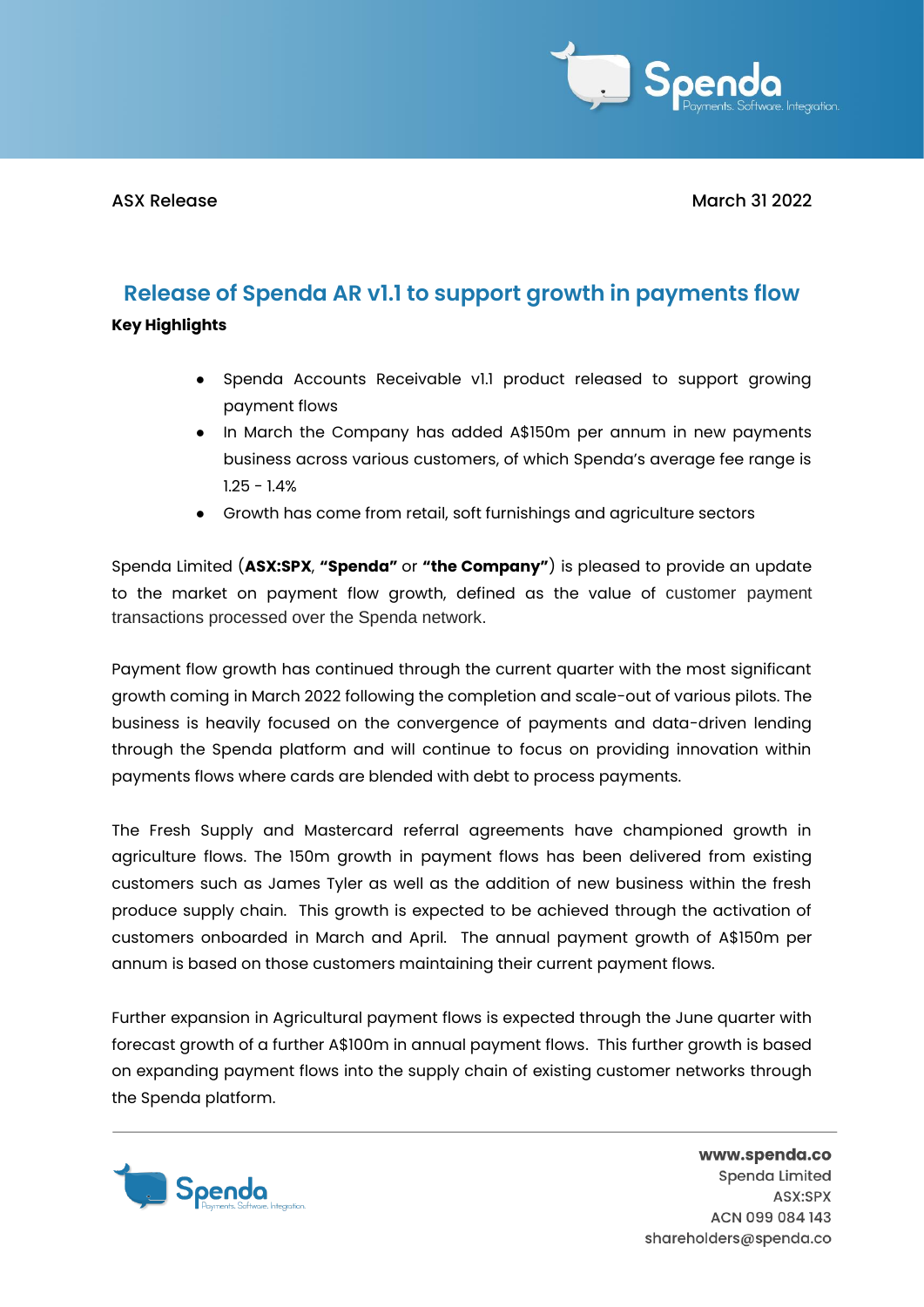

ASX Release March 31 2022

## **Release of Spenda AR v1.1 to support growth in payments flow**

**Key Highlights**

- Spenda Accounts Receivable v1.1 product released to support growing payment flows
- In March the Company has added A\$150m per annum in new payments business across various customers, of which Spenda's average fee range is 1.25 - 1.4%
- Growth has come from retail, soft furnishings and agriculture sectors

Spenda Limited (**ASX:SPX**, **"Spenda"** or **"the Company"**) is pleased to provide an update to the market on payment flow growth, defined as the value of customer payment transactions processed over the Spenda network.

Payment flow growth has continued through the current quarter with the most significant growth coming in March 2022 following the completion and scale-out of various pilots. The business is heavily focused on the convergence of payments and data-driven lending through the Spenda platform and will continue to focus on providing innovation within payments flows where cards are blended with debt to process payments.

The Fresh Supply and Mastercard referral agreements have championed growth in agriculture flows. The 150m growth in payment flows has been delivered from existing customers such as James Tyler as well as the addition of new business within the fresh produce supply chain. This growth is expected to be achieved through the activation of customers onboarded in March and April. The annual payment growth of A\$150m per annum is based on those customers maintaining their current payment flows.

Further expansion in Agricultural payment flows is expected through the June quarter with forecast growth of a further A\$100m in annual payment flows. This further growth is based on expanding payment flows into the supply chain of existing customer networks through the Spenda platform.



www.spenda.co Spenda Limited ASX:SPX ACN 099 084 143 shareholders@spenda.co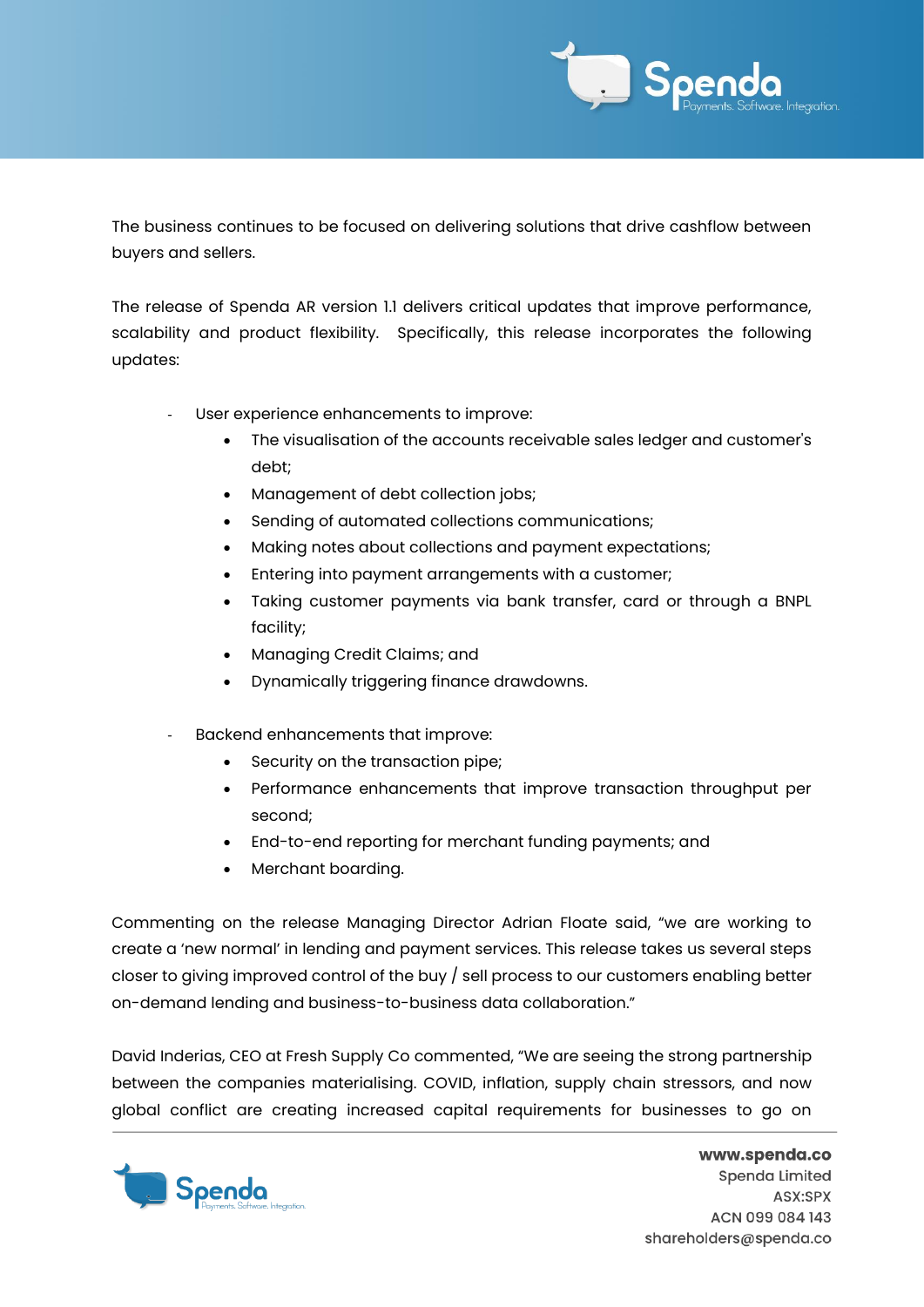

The business continues to be focused on delivering solutions that drive cashflow between buyers and sellers.

The release of Spenda AR version 1.1 delivers critical updates that improve performance, scalability and product flexibility. Specifically, this release incorporates the following updates:

- User experience enhancements to improve:
	- The visualisation of the accounts receivable sales ledger and customer's debt;
	- Management of debt collection jobs;
	- Sending of automated collections communications;
	- Making notes about collections and payment expectations;
	- Entering into payment arrangements with a customer;
	- Taking customer payments via bank transfer, card or through a BNPL facility;
	- Managing Credit Claims; and
	- Dynamically triggering finance drawdowns.
- Backend enhancements that improve:
	- Security on the transaction pipe;
	- Performance enhancements that improve transaction throughput per second;
	- End-to-end reporting for merchant funding payments; and
	- Merchant boarding.

Commenting on the release Managing Director Adrian Floate said, "we are working to create a 'new normal' in lending and payment services. This release takes us several steps closer to giving improved control of the buy / sell process to our customers enabling better on-demand lending and business-to-business data collaboration."

David Inderias, CEO at Fresh Supply Co commented, "We are seeing the strong partnership between the companies materialising. COVID, inflation, supply chain stressors, and now global conflict are creating increased capital requirements for businesses to go on



www.spenda.co Spenda Limited ASX:SPX ACN 099 084 143 shareholders@spenda.co